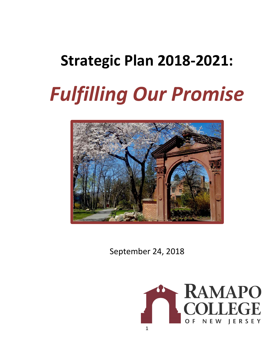# **Strategic Plan 2018-2021:** *Fulfilling Our Promise*



September 24, 2018

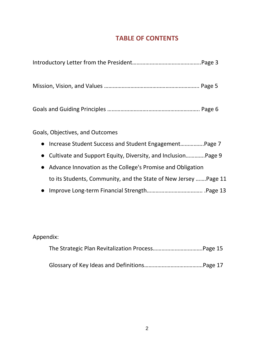# **TABLE OF CONTENTS**

| Goals, Objectives, and Outcomes |  |
|---------------------------------|--|

- Increase Student Success and Student Engagement…………….Page 7
- Cultivate and Support Equity, Diversity, and Inclusion………….Page 9
- Advance Innovation as the College's Promise and Obligation to its Students, Community, and the State of New Jersey …….Page 11
- Improve Long-term Financial Strength……………………………….. .Page 13

| Appendix: |  |
|-----------|--|
|           |  |
|           |  |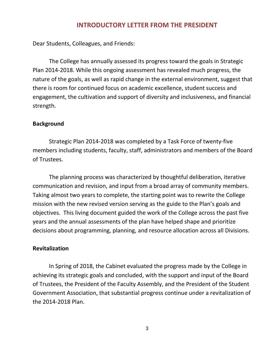#### **INTRODUCTORY LETTER FROM THE PRESIDENT**

Dear Students, Colleagues, and Friends:

The College has annually assessed its progress toward the goals in Strategic Plan 2014-2018. While this ongoing assessment has revealed much progress, the nature of the goals, as well as rapid change in the external environment, suggest that there is room for continued focus on academic excellence, student success and engagement, the cultivation and support of diversity and inclusiveness, and financial strength.

#### **Background**

Strategic Plan 2014-2018 was completed by a Task Force of twenty-five members including students, faculty, staff, administrators and members of the Board of Trustees.

The planning process was characterized by thoughtful deliberation, iterative communication and revision, and input from a broad array of community members. Taking almost two years to complete, the starting point was to rewrite the College mission with the new revised version serving as the guide to the Plan's goals and objectives. This living document guided the work of the College across the past five years and the annual assessments of the plan have helped shape and prioritize decisions about programming, planning, and resource allocation across all Divisions.

#### **Revitalization**

In Spring of 2018, the Cabinet evaluated the progress made by the College in achieving its strategic goals and concluded, with the support and input of the Board of Trustees, the President of the Faculty Assembly, and the President of the Student Government Association, that substantial progress continue under a revitalization of the 2014-2018 Plan.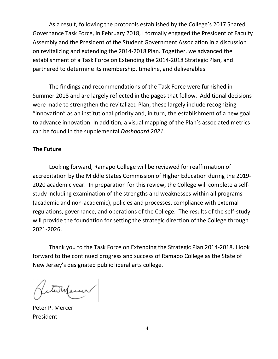As a result, following the protocols established by the College's 2017 Shared Governance Task Force, in February 2018, I formally engaged the President of Faculty Assembly and the President of the Student Government Association in a discussion on revitalizing and extending the 2014-2018 Plan. Together, we advanced the establishment of a Task Force on Extending the 2014-2018 Strategic Plan, and partnered to determine its membership, timeline, and deliverables.

The findings and recommendations of the Task Force were furnished in Summer 2018 and are largely reflected in the pages that follow. Additional decisions were made to strengthen the revitalized Plan, these largely include recognizing "innovation" as an institutional priority and, in turn, the establishment of a new goal to advance innovation. In addition, a visual mapping of the Plan's associated metrics can be found in the supplemental *Dashboard 2021*.

#### **The Future**

Looking forward, Ramapo College will be reviewed for reaffirmation of accreditation by the Middle States Commission of Higher Education during the 2019- 2020 academic year. In preparation for this review, the College will complete a selfstudy including examination of the strengths and weaknesses within all programs (academic and non-academic), policies and processes, compliance with external regulations, governance, and operations of the College. The results of the self-study will provide the foundation for setting the strategic direction of the College through 2021-2026.

Thank you to the Task Force on Extending the Strategic Plan 2014-2018. I look forward to the continued progress and success of Ramapo College as the State of New Jersey's designated public liberal arts college.

twhener

Peter P. Mercer President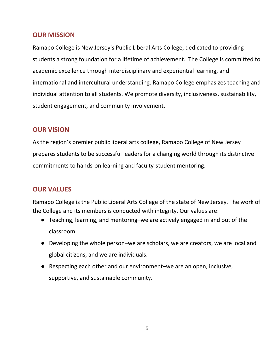## **OUR MISSION**

Ramapo College is New Jersey's Public Liberal Arts College, dedicated to providing students a strong foundation for a lifetime of achievement. The College is committed to academic excellence through interdisciplinary and experiential learning, and international and intercultural understanding. Ramapo College emphasizes teaching and individual attention to all students. We promote diversity, inclusiveness, sustainability, student engagement, and community involvement.

## **OUR VISION**

As the region's premier public liberal arts college, Ramapo College of New Jersey prepares students to be successful leaders for a changing world through its distinctive commitments to hands-on learning and faculty-student mentoring.

# **OUR VALUES**

Ramapo College is the Public Liberal Arts College of the state of New Jersey. The work of the College and its members is conducted with integrity. Our values are:

- Teaching, learning, and mentoring–we are actively engaged in and out of the classroom.
- Developing the whole person–we are scholars, we are creators, we are local and global citizens, and we are individuals.
- Respecting each other and our environment–we are an open, inclusive, supportive, and sustainable community.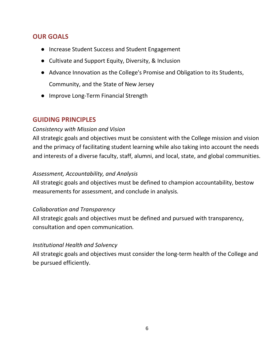# **OUR GOALS**

- Increase Student Success and Student Engagement
- Cultivate and Support Equity, Diversity, & Inclusion
- Advance Innovation as the College's Promise and Obligation to its Students, Community, and the State of New Jersey
- Improve Long-Term Financial Strength

## **GUIDING PRINCIPLES**

#### *Consistency with Mission and Vision*

All strategic goals and objectives must be consistent with the College mission and vision and the primacy of facilitating student learning while also taking into account the needs and interests of a diverse faculty, staff, alumni, and local, state, and global communities.

#### *Assessment, Accountability, and Analysis*

All strategic goals and objectives must be defined to champion accountability, bestow measurements for assessment, and conclude in analysis*.*

#### *Collaboration and Transparency*

All strategic goals and objectives must be defined and pursued with transparency, consultation and open communication*.*

#### *Institutional Health and Solvency*

All strategic goals and objectives must consider the long-term health of the College and be pursued efficiently.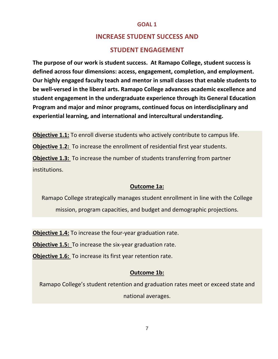## **INCREASE STUDENT SUCCESS AND**

#### **STUDENT ENGAGEMENT**

**The purpose of our work is student success. At Ramapo College, student success is defined across four dimensions: access, engagement, completion, and employment. Our highly engaged faculty teach and mentor in small classes that enable students to be well-versed in the liberal arts. Ramapo College advances academic excellence and student engagement in the undergraduate experience through its General Education Program and major and minor programs, continued focus on interdisciplinary and experiential learning, and international and intercultural understanding.**

**Objective 1.1:** To enroll diverse students who actively contribute to campus life. **Objective 1.2:** To increase the enrollment of residential first year students. **Objective 1.3:** To increase the number of students transferring from partner institutions.

#### **Outcome 1a:**

Ramapo College strategically manages student enrollment in line with the College mission, program capacities, and budget and demographic projections.

**Objective 1.4:** To increase the four-year graduation rate.

**Objective 1.5:** To increase the six-year graduation rate.

**Objective 1.6:** To increase its first year retention rate.

#### **Outcome 1b:**

Ramapo College's student retention and graduation rates meet or exceed state and national averages.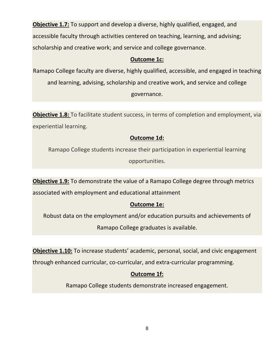**Objective 1.7:** To support and develop a diverse, highly qualified, engaged, and accessible faculty through activities centered on teaching, learning, and advising; scholarship and creative work; and service and college governance.

#### **Outcome 1c:**

Ramapo College faculty are diverse, highly qualified, accessible, and engaged in teaching and learning, advising, scholarship and creative work, and service and college governance.

**Objective 1.8:** To facilitate student success, in terms of completion and employment, via experiential learning.

## **Outcome 1d:**

Ramapo College students increase their participation in experiential learning opportunities.

**Objective 1.9:** To demonstrate the value of a Ramapo College degree through metrics associated with employment and educational attainment

#### **Outcome 1e:**

Robust data on the employment and/or education pursuits and achievements of

Ramapo College graduates is available.

**Objective 1.10:** To increase students' academic, personal, social, and civic engagement

through enhanced curricular, co-curricular, and extra-curricular programming.

## **Outcome 1f:**

Ramapo College students demonstrate increased engagement.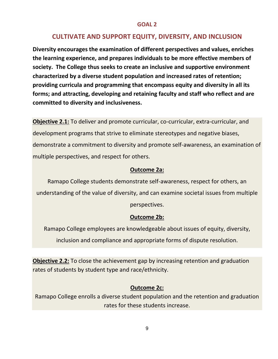## **CULTIVATE AND SUPPORT EQUITY, DIVERSITY, AND INCLUSION**

**Diversity encourages the examination of different perspectives and values, enriches the learning experience, and prepares individuals to be more effective members of society. The College thus seeks to create an inclusive and supportive environment characterized by a diverse student population and increased rates of retention; providing curricula and programming that encompass equity and diversity in all its forms; and attracting, developing and retaining faculty and staff who reflect and are committed to diversity and inclusiveness.**

**Objective 2.1:** To deliver and promote curricular, co-curricular, extra-curricular, and development programs that strive to eliminate stereotypes and negative biases, demonstrate a commitment to diversity and promote self-awareness, an examination of multiple perspectives, and respect for others.

#### **Outcome 2a:**

Ramapo College students demonstrate self-awareness, respect for others, an understanding of the value of diversity, and can examine societal issues from multiple perspectives.

#### **Outcome 2b:**

Ramapo College employees are knowledgeable about issues of equity, diversity, inclusion and compliance and appropriate forms of dispute resolution.

**Objective 2.2:** To close the achievement gap by increasing retention and graduation rates of students by student type and race/ethnicity.

#### **Outcome 2c:**

Ramapo College enrolls a diverse student population and the retention and graduation rates for these students increase.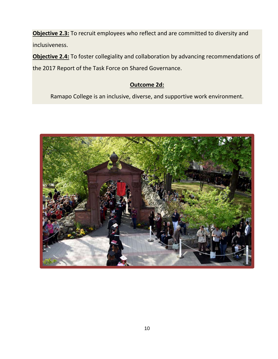**Objective 2.3:** To recruit employees who reflect and are committed to diversity and inclusiveness.

**Objective 2.4:** To foster collegiality and collaboration by advancing recommendations of the 2017 Report of the Task Force on Shared Governance.

## **Outcome 2d:**

Ramapo College is an inclusive, diverse, and supportive work environment.

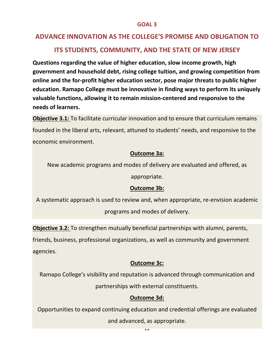# **ADVANCE INNOVATION AS THE COLLEGE'S PROMISE AND OBLIGATION TO**

# **ITS STUDENTS, COMMUNITY, AND THE STATE OF NEW JERSEY**

**Questions regarding the value of higher education, slow income growth, high government and household debt, rising college tuition, and growing competition from online and the for-profit higher education sector, pose major threats to public higher education. Ramapo College must be innovative in finding ways to perform its uniquely valuable functions, allowing it to remain mission-centered and responsive to the needs of learners.**

**Objective 3.1:** To facilitate curricular innovation and to ensure that curriculum remains founded in the liberal arts, relevant, attuned to students' needs, and responsive to the economic environment.

#### **Outcome 3a:**

New academic programs and modes of delivery are evaluated and offered, as

appropriate.

#### **Outcome 3b:**

A systematic approach is used to review and, when appropriate, re-envision academic programs and modes of delivery.

**Objective 3.2:** To strengthen mutually beneficial partnerships with alumni, parents, friends, business, professional organizations, as well as community and government agencies.

#### **Outcome 3c:**

Ramapo College's visibility and reputation is advanced through communication and partnerships with external constituents.

#### **Outcome 3d:**

Opportunities to expand continuing education and credential offerings are evaluated

11 and advanced, as appropriate.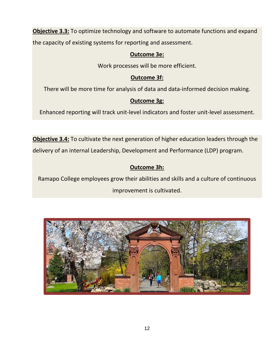**Objective 3.3:** To optimize technology and software to automate functions and expand the capacity of existing systems for reporting and assessment.

#### **Outcome 3e:**

Work processes will be more efficient.

## **Outcome 3f:**

There will be more time for analysis of data and data-informed decision making.

## **Outcome 3g:**

Enhanced reporting will track unit-level indicators and foster unit-level assessment.

**Objective 3.4:** To cultivate the next generation of higher education leaders through the delivery of an internal Leadership, Development and Performance (LDP) program.

# **Outcome 3h:**

Ramapo College employees grow their abilities and skills and a culture of continuous improvement is cultivated.

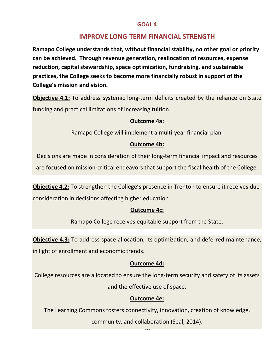# **IMPROVE LONG-TERM FINANCIAL STRENGTH**

**Ramapo College understands that, without financial stability, no other goal or priority can be achieved. Through revenue generation, reallocation of resources, expense reduction, capital stewardship, space optimization, fundraising, and sustainable practices, the College seeks to become more financially robust in support of the College's mission and vision.**

**Objective 4.1:** To address systemic long-term deficits created by the reliance on State funding and practical limitations of increasing tuition.

#### **Outcome 4a:**

Ramapo College will implement a multi-year financial plan.

#### **Outcome 4b:**

Decisions are made in consideration of their long-term financial impact and resources are focused on mission-critical endeavors that support the fiscal health of the College.

**Objective 4.2:** To strengthen the College's presence in Trenton to ensure it receives due consideration in decisions affecting higher education.

#### **Outcome 4c:**

Ramapo College receives equitable support from the State.

**Objective 4.3:** To address space allocation, its optimization, and deferred maintenance, in light of enrollment and economic trends.

#### **Outcome 4d:**

College resources are allocated to ensure the long-term security and safety of its assets

# and the effective use of space.

## **Outcome 4e:**

The Learning Commons fosters connectivity, innovation, creation of knowledge,

 $\ddot{\phantom{0}}$ community, and collaboration (Seal, 2014).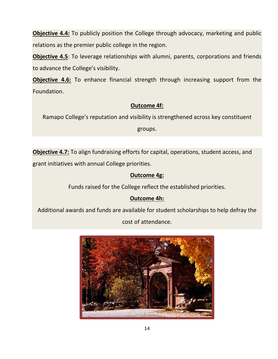**Objective 4.4:** To publicly position the College through advocacy, marketing and public relations as the premier public college in the region.

**Objective 4.5**: To leverage relationships with alumni, parents, corporations and friends to advance the College's visibility.

**Objective 4.6:** To enhance financial strength through increasing support from the Foundation.

#### **Outcome 4f:**

Ramapo College's reputation and visibility is strengthened across key constituent

groups.

**Objective 4.7:** To align fundraising efforts for capital, operations, student access, and grant initiatives with annual College priorities.

## **Outcome 4g:**

Funds raised for the College reflect the established priorities.

# **Outcome 4h:**

Additional awards and funds are available for student scholarships to help defray the

cost of attendance.

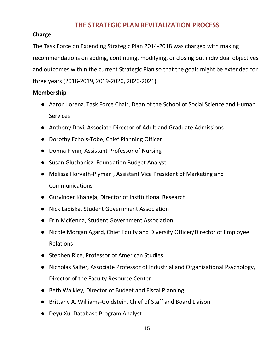## **THE STRATEGIC PLAN REVITALIZATION PROCESS**

#### **Charge**

The Task Force on Extending Strategic Plan 2014-2018 was charged with making recommendations on adding, continuing, modifying, or closing out individual objectives and outcomes within the current Strategic Plan so that the goals might be extended for three years (2018-2019, 2019-2020, 2020-2021).

#### **Membership**

- Aaron Lorenz, Task Force Chair, Dean of the School of Social Science and Human Services
- Anthony Dovi, Associate Director of Adult and Graduate Admissions
- Dorothy Echols-Tobe, Chief Planning Officer
- Donna Flynn, Assistant Professor of Nursing
- Susan Gluchanicz, Foundation Budget Analyst
- Melissa Horvath-Plyman , Assistant Vice President of Marketing and Communications
- Gurvinder Khaneja, Director of Institutional Research
- Nick Lapiska, Student Government Association
- Erin McKenna, Student Government Association
- Nicole Morgan Agard, Chief Equity and Diversity Officer/Director of Employee Relations
- Stephen Rice, Professor of American Studies
- Nicholas Salter, Associate Professor of Industrial and Organizational Psychology, Director of the Faculty Resource Center
- Beth Walkley, Director of Budget and Fiscal Planning
- Brittany A. Williams-Goldstein, Chief of Staff and Board Liaison
- Deyu Xu, Database Program Analyst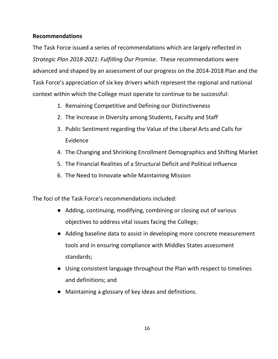#### **Recommendations**

The Task Force issued a series of recommendations which are largely reflected in *Strategic Plan 2018-2021: Fulfilling Our Promise*. These recommendations were advanced and shaped by an assessment of our progress on the 2014-2018 Plan and the Task Force's appreciation of six key drivers which represent the regional and national context within which the College must operate to continue to be successful:

- 1. Remaining Competitive and Defining our Distinctiveness
- 2. The Increase in Diversity among Students, Faculty and Staff
- 3. Public Sentiment regarding the Value of the Liberal Arts and Calls for Evidence
- 4. The Changing and Shrinking Enrollment Demographics and Shifting Market
- 5. The Financial Realities of a Structural Deficit and Political Influence
- 6. The Need to Innovate while Maintaining Mission

The foci of the Task Force's recommendations included:

- Adding, continuing, modifying, combining or closing out of various objectives to address vital issues facing the College;
- Adding baseline data to assist in developing more concrete measurement tools and in ensuring compliance with Middles States assessment standards;
- Using consistent language throughout the Plan with respect to timelines and definitions; and
- Maintaining a glossary of key ideas and definitions.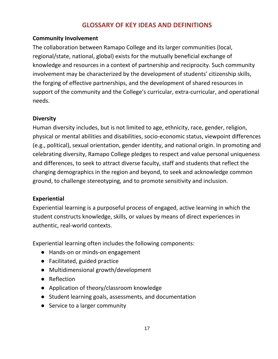## **GLOSSARY OF KEY IDEAS AND DEFINITIONS**

#### **Community Involvement**

The collaboration between Ramapo College and its larger communities (local, regional/state, national, global) exists for the mutually beneficial exchange of knowledge and resources in a context of partnership and reciprocity. Such community involvement may be characterized by the development of students' citizenship skills, the forging of effective partnerships, and the development of shared resources in support of the community and the College's curricular, extra-curricular, and operational needs.

#### **Diversity**

Human diversity includes, but is not limited to age, ethnicity, race, gender, religion, physical or mental abilities and disabilities, socio-economic status, viewpoint differences (e.g., political), sexual orientation, gender identity, and national origin. In promoting and celebrating diversity, Ramapo College pledges to respect and value personal uniqueness and differences, to seek to attract diverse faculty, staff and students that reflect the changing demographics in the region and beyond, to seek and acknowledge common ground, to challenge stereotyping, and to promote sensitivity and inclusion.

#### **Experiential**

Experiential learning is a purposeful process of engaged, active learning in which the student constructs knowledge, skills, or values by means of direct experiences in authentic, real-world contexts.

Experiential learning often includes the following components:

- Hands-on or minds-on engagement
- Facilitated, guided practice
- Multidimensional growth/development
- Reflection
- Application of theory/classroom knowledge
- Student learning goals, assessments, and documentation
- Service to a larger community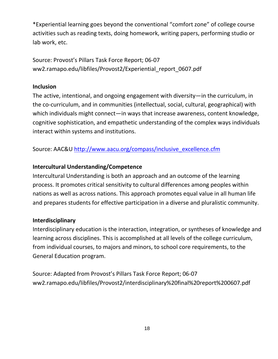\*Experiential learning goes beyond the conventional "comfort zone" of college course activities such as reading texts, doing homework, writing papers, performing studio or lab work, etc.

Source: Provost's Pillars Task Force Report; 06-07 ww2.ramapo.edu/libfiles/Provost2/Experiential\_report\_0607.pdf

#### **Inclusion**

The active, intentional, and ongoing engagement with diversity—in the curriculum, in the co-curriculum, and in communities (intellectual, social, cultural, geographical) with which individuals might connect—in ways that increase awareness, content knowledge, cognitive sophistication, and empathetic understanding of the complex ways individuals interact within systems and institutions.

Source: AAC&[U](http://www.aacu.org/compass/inclusive_excellence.cfm) [http://www.aacu.org/compass/inclusive\\_excellence.cfm](http://www.aacu.org/compass/inclusive_excellence.cfm)

## **Intercultural Understanding/Competence**

Intercultural Understanding is both an approach and an outcome of the learning process. It promotes critical sensitivity to cultural differences among peoples within nations as well as across nations. This approach promotes equal value in all human life and prepares students for effective participation in a diverse and pluralistic community.

#### **Interdisciplinary**

Interdisciplinary education is the interaction, integration, or syntheses of knowledge and learning across disciplines. This is accomplished at all levels of the college curriculum, from individual courses, to majors and minors, to school core requirements, to the General Education program.

Source: Adapted from Provost's Pillars Task Force Report; 06-07 ww2.ramapo.edu/libfiles/Provost2/interdisciplinary%20final%20report%200607.pdf